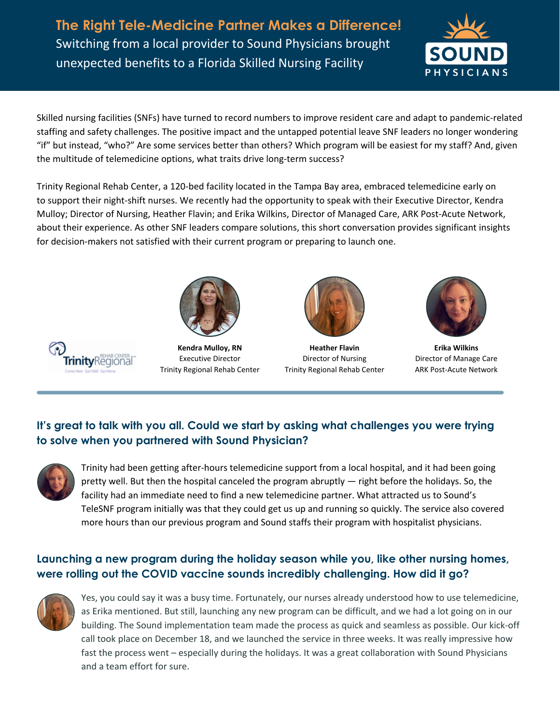**The Right Tele-Medicine Partner Makes a Difference!** Switching from a local provider to Sound Physicians brought unexpected benefits to a Florida Skilled Nursing Facility



Skilled nursing facilities (SNFs) have turned to record numbers to improve resident care and adapt to pandemic-related staffing and safety challenges. The positive impact and the untapped potential leave SNF leaders no longer wondering "if" but instead, "who?" Are some services better than others? Which program will be easiest for my staff? And, given the multitude of telemedicine options, what traits drive long-term success?

Trinity Regional Rehab Center, a 120-bed facility located in the Tampa Bay area, embraced telemedicine early on to support their night-shift nurses. We recently had the opportunity to speak with their Executive Director, Kendra Mulloy; Director of Nursing, Heather Flavin; and Erika Wilkins, Director of Managed Care, ARK Post-Acute Network, about their experience. As other SNF leaders compare solutions, this short conversation provides significant insights for decision-makers not satisfied with their current program or preparing to launch one.



**Kendra Mulloy, RN** Executive Director Trinity Regional Rehab Center



**Heather Flavin** Director of Nursing Trinity Regional Rehab Center



**Erika Wilkins** Director of Manage Care ARK Post-Acute Network

# **It's great to talk with you all. Could we start by asking what challenges you were trying to solve when you partnered with Sound Physician?**



Trinity had been getting after-hours telemedicine support from a local hospital, and it had been going pretty well. But then the hospital canceled the program abruptly — right before the holidays. So, the facility had an immediate need to find a new telemedicine partner. What attracted us to Sound's TeleSNF program initially was that they could get us up and running so quickly. The service also covered more hours than our previous program and Sound staffs their program with hospitalist physicians.

### **Launching a new program during the holiday season while you, like other nursing homes, were rolling out the COVID vaccine sounds incredibly challenging. How did it go?**



Yes, you could say it was a busy time. Fortunately, our nurses already understood how to use telemedicine, as Erika mentioned. But still, launching any new program can be difficult, and we had a lot going on in our building. The Sound implementation team made the process as quick and seamless as possible. Our kick-off call took place on December 18, and we launched the service in three weeks. It was really impressive how fast the process went – especially during the holidays. It was a great collaboration with Sound Physicians and a team effort for sure.